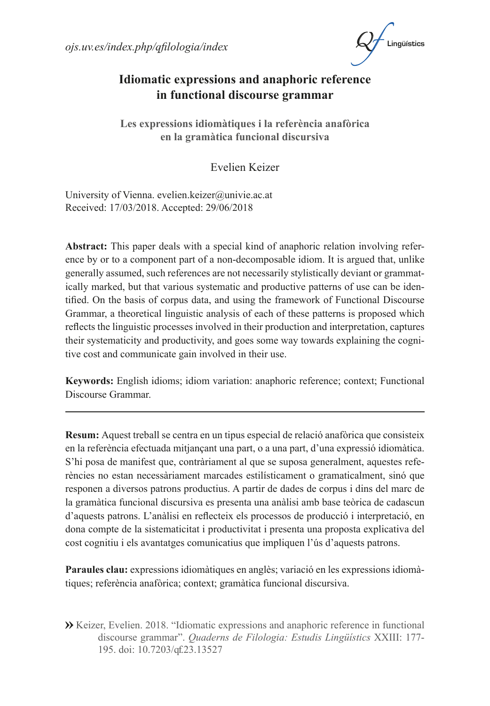$ois.uv. es/index.php/afiloloqia/index$ 



## **Idiomatic expressions and anaphoric reference in functional discourse grammar**

**Les expressions idiomàtiques i la referència anafòrica en la gramàtica funcional discursiva**

Evelien Keizer

University of Vienna. [evelien.keizer@univie.ac.at](mailto:evelien.keizer@univie.ac.at) Received: 17/03/2018. Accepted: 29/06/2018

**Abstract:** This paper deals with a special kind of anaphoric relation involving reference by or to a component part of a non-decomposable idiom. It is argued that, unlike generally assumed, such references are not necessarily stylistically deviant or grammatically marked, but that various systematic and productive patterns of use can be identified. On the basis of corpus data, and using the framework of Functional Discourse Grammar, a theoretical linguistic analysis of each of these patterns is proposed which reflects the linguistic processes involved in their production and interpretation, captures their systematicity and productivity, and goes some way towards explaining the cognitive cost and communicate gain involved in their use.

**Keywords:** English idioms; idiom variation: anaphoric reference; context; Functional Discourse Grammar.

**Resum:** Aquest treball se centra en un tipus especial de relació anafòrica que consisteix en la referència efectuada mitjançant una part, o a una part, d'una expressió idiomàtica. S'hi posa de manifest que, contràriament al que se suposa generalment, aquestes referències no estan necessàriament marcades estilísticament o gramaticalment, sinó que responen a diversos patrons productius. A partir de dades de corpus i dins del marc de la gramàtica funcional discursiva es presenta una anàlisi amb base teòrica de cadascun d'aquests patrons. L'anàlisi en reflecteix els processos de producció i interpretació, en dona compte de la sistematicitat i productivitat i presenta una proposta explicativa del cost cognitiu i els avantatges comunicatius que impliquen l'ús d'aquests patrons.

**Paraules clau:** expressions idiomàtiques en anglès; variació en les expressions idiomàtiques; referència anafòrica; context; gramàtica funcional discursiva.

 Keizer, Evelien. 2018. "Idiomatic expressions and anaphoric reference in functional discourse grammar". *Quaderns de Filologia: Estudis Lingüístics* XXIII: 177- 195. doi: 10.7203/qf.23.13527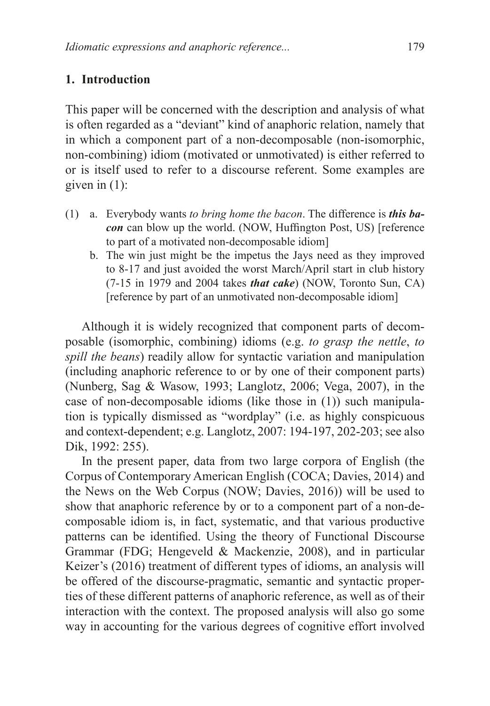#### **1. Introduction**

This paper will be concerned with the description and analysis of what is often regarded as a "deviant" kind of anaphoric relation, namely that in which a component part of a non-decomposable (non-isomorphic, non-combining) idiom (motivated or unmotivated) is either referred to or is itself used to refer to a discourse referent. Some examples are given in  $(1)$ :

- (1) a. Everybody wants *to bring home the bacon*. The difference is *this bacon* can blow up the world. (NOW, Huffington Post, US) [reference to part of a motivated non-decomposable idiom]
	- b. The win just might be the impetus the Jays need as they improved to 8-17 and just avoided the worst March/April start in club history (7-15 in 1979 and 2004 takes *that cake*) (NOW, Toronto Sun, CA) [reference by part of an unmotivated non-decomposable idiom]

Although it is widely recognized that component parts of decomposable (isomorphic, combining) idioms (e.g. *to grasp the nettle*, *to spill the beans*) readily allow for syntactic variation and manipulation (including anaphoric reference to or by one of their component parts) (Nunberg, Sag & Wasow, 1993; Langlotz, 2006; Vega, 2007), in the case of non-decomposable idioms (like those in (1)) such manipulation is typically dismissed as "wordplay" (i.e. as highly conspicuous and context-dependent; e.g. Langlotz, 2007: 194-197, 202-203; see also Dik, 1992: 255).

In the present paper, data from two large corpora of English (the Corpus of Contemporary American English (COCA; Davies, 2014) and the News on the Web Corpus (NOW; Davies, 2016)) will be used to show that anaphoric reference by or to a component part of a non-decomposable idiom is, in fact, systematic, and that various productive patterns can be identified. Using the theory of Functional Discourse Grammar (FDG; Hengeveld & Mackenzie, 2008), and in particular Keizer's (2016) treatment of different types of idioms, an analysis will be offered of the discourse-pragmatic, semantic and syntactic properties of these different patterns of anaphoric reference, as well as of their interaction with the context. The proposed analysis will also go some way in accounting for the various degrees of cognitive effort involved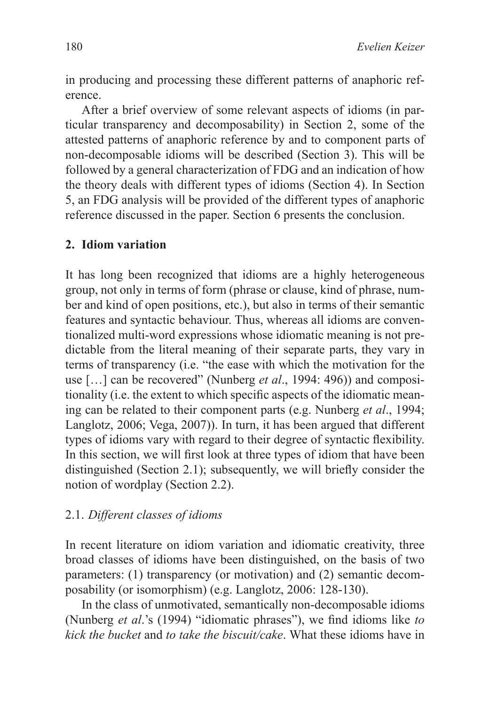in producing and processing these different patterns of anaphoric reference.

After a brief overview of some relevant aspects of idioms (in particular transparency and decomposability) in Section 2, some of the attested patterns of anaphoric reference by and to component parts of non-decomposable idioms will be described (Section 3). This will be followed by a general characterization of FDG and an indication of how the theory deals with different types of idioms (Section 4). In Section 5, an FDG analysis will be provided of the different types of anaphoric reference discussed in the paper. Section 6 presents the conclusion.

### **2. Idiom variation**

It has long been recognized that idioms are a highly heterogeneous group, not only in terms of form (phrase or clause, kind of phrase, number and kind of open positions, etc.), but also in terms of their semantic features and syntactic behaviour. Thus, whereas all idioms are conventionalized multi-word expressions whose idiomatic meaning is not predictable from the literal meaning of their separate parts, they vary in terms of transparency (i.e. "the ease with which the motivation for the use […] can be recovered" (Nunberg *et al*., 1994: 496)) and compositionality (i.e. the extent to which specific aspects of the idiomatic meaning can be related to their component parts (e.g. Nunberg *et al*., 1994; Langlotz, 2006; Vega, 2007)). In turn, it has been argued that different types of idioms vary with regard to their degree of syntactic flexibility. In this section, we will first look at three types of idiom that have been distinguished (Section 2.1); subsequently, we will briefly consider the notion of wordplay (Section 2.2).

#### 2.1. *Different classes of idioms*

In recent literature on idiom variation and idiomatic creativity, three broad classes of idioms have been distinguished, on the basis of two parameters: (1) transparency (or motivation) and (2) semantic decomposability (or isomorphism) (e.g. Langlotz, 2006: 128-130).

In the class of unmotivated, semantically non-decomposable idioms (Nunberg *et al*.'s (1994) "idiomatic phrases"), we find idioms like *to kick the bucket* and *to take the biscuit/cake*. What these idioms have in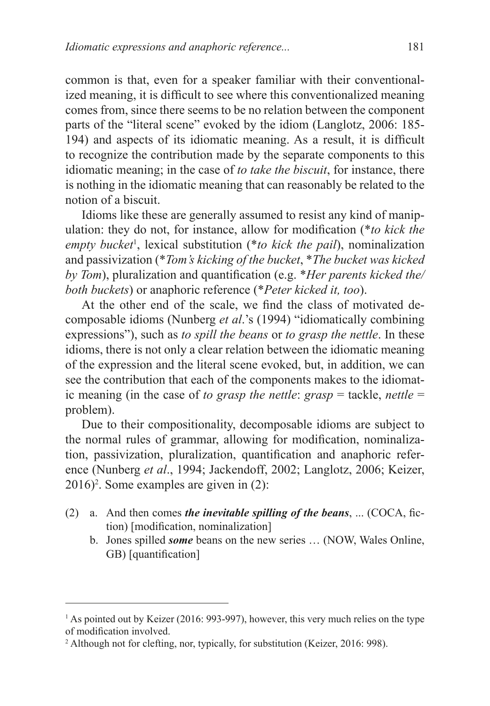common is that, even for a speaker familiar with their conventionalized meaning, it is difficult to see where this conventionalized meaning comes from, since there seems to be no relation between the component parts of the "literal scene" evoked by the idiom (Langlotz, 2006: 185- 194) and aspects of its idiomatic meaning. As a result, it is difficult to recognize the contribution made by the separate components to this idiomatic meaning; in the case of *to take the biscuit*, for instance, there is nothing in the idiomatic meaning that can reasonably be related to the notion of a biscuit.

Idioms like these are generally assumed to resist any kind of manipulation: they do not, for instance, allow for modification (\**to kick the empty bucket*<sup>1</sup>, lexical substitution (\**to kick the pail*), nominalization and passivization (\**Tom's kicking of the bucket*, \**The bucket was kicked by Tom*), pluralization and quantification (e.g. \**Her parents kicked the/ both buckets*) or anaphoric reference (\**Peter kicked it, too*).

At the other end of the scale, we find the class of motivated decomposable idioms (Nunberg *et al*.'s (1994) "idiomatically combining expressions"), such as *to spill the beans* or *to grasp the nettle*. In these idioms, there is not only a clear relation between the idiomatic meaning of the expression and the literal scene evoked, but, in addition, we can see the contribution that each of the components makes to the idiomatic meaning (in the case of *to grasp the nettle*: *grasp* = tackle, *nettle* = problem).

Due to their compositionality, decomposable idioms are subject to the normal rules of grammar, allowing for modification, nominalization, passivization, pluralization, quantification and anaphoric reference (Nunberg *et al*., 1994; Jackendoff, 2002; Langlotz, 2006; Keizer, 2016)2 . Some examples are given in (2):

- (2) a. And then comes *the inevitable spilling of the beans*, ... (COCA, fiction) [modification, nominalization]
	- b. Jones spilled *some* beans on the new series … (NOW, Wales Online, GB) [quantification]

<sup>&</sup>lt;sup>1</sup> As pointed out by Keizer (2016: 993-997), however, this very much relies on the type of modification involved.

<sup>&</sup>lt;sup>2</sup> Although not for clefting, nor, typically, for substitution (Keizer, 2016: 998).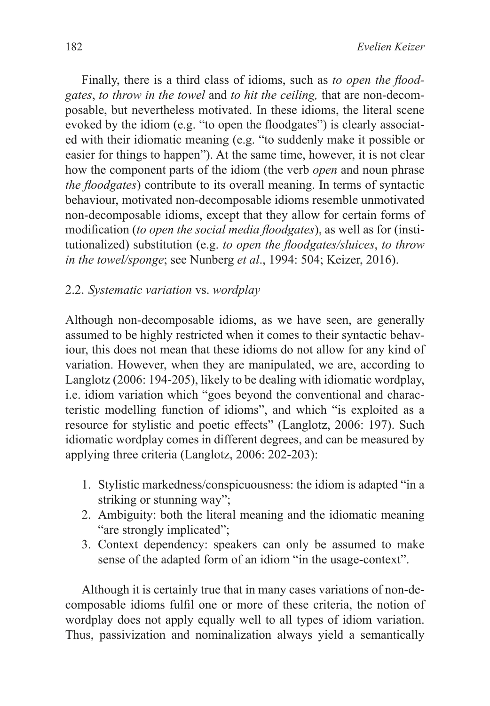Finally, there is a third class of idioms, such as *to open the floodgates*, *to throw in the towel* and *to hit the ceiling,* that are non-decomposable, but nevertheless motivated. In these idioms, the literal scene evoked by the idiom (e.g. "to open the floodgates") is clearly associated with their idiomatic meaning (e.g. "to suddenly make it possible or easier for things to happen"). At the same time, however, it is not clear how the component parts of the idiom (the verb *open* and noun phrase *the floodgates*) contribute to its overall meaning. In terms of syntactic behaviour, motivated non-decomposable idioms resemble unmotivated non-decomposable idioms, except that they allow for certain forms of modification (*to open the social media floodgates*), as well as for (institutionalized) substitution (e.g. *to open the floodgates/sluices*, *to throw in the towel/sponge*; see Nunberg *et al*., 1994: 504; Keizer, 2016).

### 2.2. *Systematic variation* vs. *wordplay*

Although non-decomposable idioms, as we have seen, are generally assumed to be highly restricted when it comes to their syntactic behaviour, this does not mean that these idioms do not allow for any kind of variation. However, when they are manipulated, we are, according to Langlotz (2006: 194-205), likely to be dealing with idiomatic wordplay, i.e. idiom variation which "goes beyond the conventional and characteristic modelling function of idioms", and which "is exploited as a resource for stylistic and poetic effects" (Langlotz, 2006: 197). Such idiomatic wordplay comes in different degrees, and can be measured by applying three criteria (Langlotz, 2006: 202-203):

- 1. Stylistic markedness/conspicuousness: the idiom is adapted "in a striking or stunning way";
- 2. Ambiguity: both the literal meaning and the idiomatic meaning "are strongly implicated";
- 3. Context dependency: speakers can only be assumed to make sense of the adapted form of an idiom "in the usage-context".

Although it is certainly true that in many cases variations of non-decomposable idioms fulfil one or more of these criteria, the notion of wordplay does not apply equally well to all types of idiom variation. Thus, passivization and nominalization always yield a semantically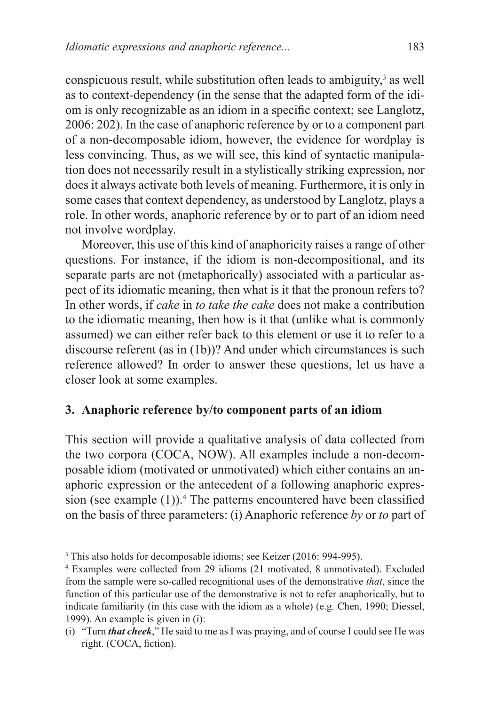conspicuous result, while substitution often leads to ambiguity, $<sup>3</sup>$  as well</sup> as to context-dependency (in the sense that the adapted form of the idiom is only recognizable as an idiom in a specific context; see Langlotz, 2006: 202). In the case of anaphoric reference by or to a component part of a non-decomposable idiom, however, the evidence for wordplay is less convincing. Thus, as we will see, this kind of syntactic manipulation does not necessarily result in a stylistically striking expression, nor does it always activate both levels of meaning. Furthermore, it is only in some cases that context dependency, as understood by Langlotz, plays a role. In other words, anaphoric reference by or to part of an idiom need not involve wordplay.

Moreover, this use of this kind of anaphoricity raises a range of other questions. For instance, if the idiom is non-decompositional, and its separate parts are not (metaphorically) associated with a particular aspect of its idiomatic meaning, then what is it that the pronoun refers to? In other words, if *cake* in *to take the cake* does not make a contribution to the idiomatic meaning, then how is it that (unlike what is commonly assumed) we can either refer back to this element or use it to refer to a discourse referent (as in (1b))? And under which circumstances is such reference allowed? In order to answer these questions, let us have a closer look at some examples.

### **3. Anaphoric reference by/to component parts of an idiom**

This section will provide a qualitative analysis of data collected from the two corpora (COCA, NOW). All examples include a non-decomposable idiom (motivated or unmotivated) which either contains an anaphoric expression or the antecedent of a following anaphoric expression (see example  $(1)$ ).<sup>4</sup> The patterns encountered have been classified on the basis of three parameters: (i) Anaphoric reference *by* or *to* part of

<sup>&</sup>lt;sup>3</sup> This also holds for decomposable idioms; see Keizer (2016: 994-995).

<sup>4</sup> Examples were collected from 29 idioms (21 motivated, 8 unmotivated). Excluded from the sample were so-called recognitional uses of the demonstrative *that*, since the function of this particular use of the demonstrative is not to refer anaphorically, but to indicate familiarity (in this case with the idiom as a whole) (e.g. Chen, 1990; Diessel, 1999). An example is given in (i):

<sup>(</sup>i) "Turn *that cheek*," He said to me as I was praying, and of course I could see He was right. (COCA, fiction).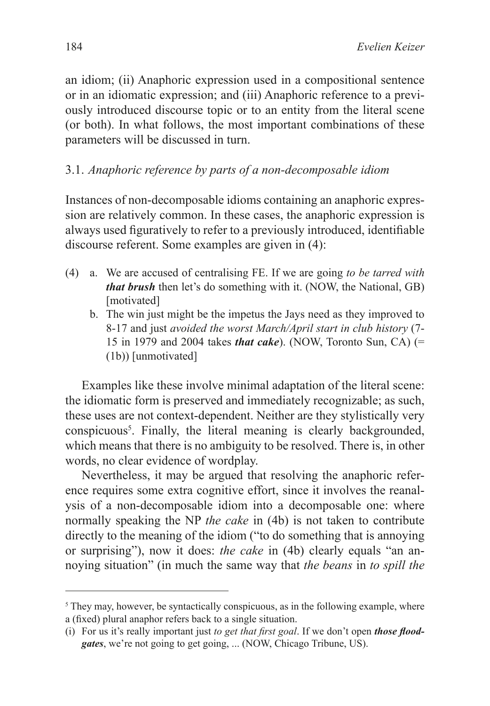an idiom; (ii) Anaphoric expression used in a compositional sentence or in an idiomatic expression; and (iii) Anaphoric reference to a previously introduced discourse topic or to an entity from the literal scene (or both). In what follows, the most important combinations of these parameters will be discussed in turn.

# 3.1. *Anaphoric reference by parts of a non-decomposable idiom*

Instances of non-decomposable idioms containing an anaphoric expression are relatively common. In these cases, the anaphoric expression is always used figuratively to refer to a previously introduced, identifiable discourse referent. Some examples are given in (4):

- (4) a. We are accused of centralising FE. If we are going *to be tarred with that brush* then let's do something with it. (NOW, the National, GB) [motivated]
	- b. The win just might be the impetus the Jays need as they improved to 8-17 and just *avoided the worst March/April start in club history* (7- 15 in 1979 and 2004 takes *that cake*). (NOW, Toronto Sun, CA) (= (1b)) [unmotivated]

Examples like these involve minimal adaptation of the literal scene: the idiomatic form is preserved and immediately recognizable; as such, these uses are not context-dependent. Neither are they stylistically very conspicuous5 . Finally, the literal meaning is clearly backgrounded, which means that there is no ambiguity to be resolved. There is, in other words, no clear evidence of wordplay.

Nevertheless, it may be argued that resolving the anaphoric reference requires some extra cognitive effort, since it involves the reanalysis of a non-decomposable idiom into a decomposable one: where normally speaking the NP *the cake* in (4b) is not taken to contribute directly to the meaning of the idiom ("to do something that is annoying or surprising"), now it does: *the cake* in (4b) clearly equals "an annoying situation" (in much the same way that *the beans* in *to spill the* 

<sup>&</sup>lt;sup>5</sup> They may, however, be syntactically conspicuous, as in the following example, where a (fixed) plural anaphor refers back to a single situation.

<sup>(</sup>i) For us it's really important just *to get that first goal*. If we don't open *those floodgates*, we're not going to get going, ... (NOW, Chicago Tribune, US).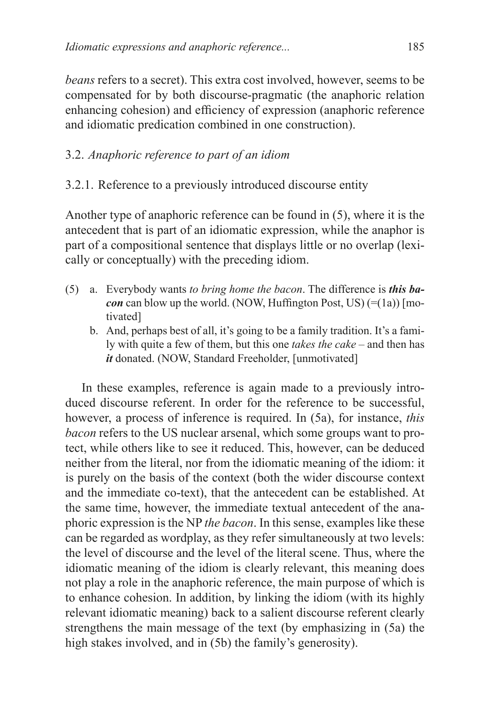*beans* refers to a secret). This extra cost involved, however, seems to be compensated for by both discourse-pragmatic (the anaphoric relation enhancing cohesion) and efficiency of expression (anaphoric reference and idiomatic predication combined in one construction).

# 3.2. *Anaphoric reference to part of an idiom*

# 3.2.1. Reference to a previously introduced discourse entity

Another type of anaphoric reference can be found in (5), where it is the antecedent that is part of an idiomatic expression, while the anaphor is part of a compositional sentence that displays little or no overlap (lexically or conceptually) with the preceding idiom.

- (5) a. Everybody wants *to bring home the bacon*. The difference is *this bacon* can blow up the world. (NOW, Huffington Post, US)  $(=(1a))$  [motivated]
	- b. And, perhaps best of all, it's going to be a family tradition. It's a family with quite a few of them, but this one *takes the cake* – and then has *it* donated. (NOW, Standard Freeholder, [unmotivated]

In these examples, reference is again made to a previously introduced discourse referent. In order for the reference to be successful, however, a process of inference is required. In (5a), for instance, *this bacon* refers to the US nuclear arsenal, which some groups want to protect, while others like to see it reduced. This, however, can be deduced neither from the literal, nor from the idiomatic meaning of the idiom: it is purely on the basis of the context (both the wider discourse context and the immediate co-text), that the antecedent can be established. At the same time, however, the immediate textual antecedent of the anaphoric expression is the NP *the bacon*. In this sense, examples like these can be regarded as wordplay, as they refer simultaneously at two levels: the level of discourse and the level of the literal scene. Thus, where the idiomatic meaning of the idiom is clearly relevant, this meaning does not play a role in the anaphoric reference, the main purpose of which is to enhance cohesion. In addition, by linking the idiom (with its highly relevant idiomatic meaning) back to a salient discourse referent clearly strengthens the main message of the text (by emphasizing in (5a) the high stakes involved, and in (5b) the family's generosity).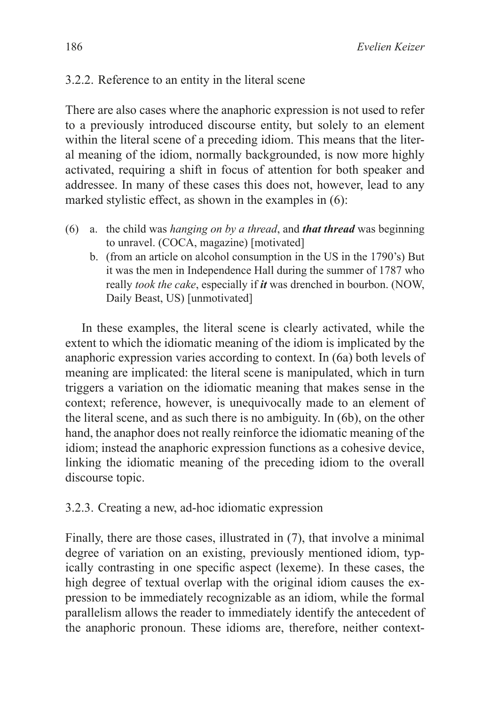## 3.2.2. Reference to an entity in the literal scene

There are also cases where the anaphoric expression is not used to refer to a previously introduced discourse entity, but solely to an element within the literal scene of a preceding idiom. This means that the literal meaning of the idiom, normally backgrounded, is now more highly activated, requiring a shift in focus of attention for both speaker and addressee. In many of these cases this does not, however, lead to any marked stylistic effect, as shown in the examples in (6):

- (6) a. the child was *hanging on by a thread*, and *that thread* was beginning to unravel. (COCA, magazine) [motivated]
	- b. (from an article on alcohol consumption in the US in the 1790's) But it was the men in Independence Hall during the summer of 1787 who really *took the cake*, especially if *it* was drenched in bourbon. (NOW, Daily Beast, US) [unmotivated]

In these examples, the literal scene is clearly activated, while the extent to which the idiomatic meaning of the idiom is implicated by the anaphoric expression varies according to context. In (6a) both levels of meaning are implicated: the literal scene is manipulated, which in turn triggers a variation on the idiomatic meaning that makes sense in the context; reference, however, is unequivocally made to an element of the literal scene, and as such there is no ambiguity. In (6b), on the other hand, the anaphor does not really reinforce the idiomatic meaning of the idiom; instead the anaphoric expression functions as a cohesive device, linking the idiomatic meaning of the preceding idiom to the overall discourse topic.

### 3.2.3. Creating a new, ad-hoc idiomatic expression

Finally, there are those cases, illustrated in (7), that involve a minimal degree of variation on an existing, previously mentioned idiom, typically contrasting in one specific aspect (lexeme). In these cases, the high degree of textual overlap with the original idiom causes the expression to be immediately recognizable as an idiom, while the formal parallelism allows the reader to immediately identify the antecedent of the anaphoric pronoun. These idioms are, therefore, neither context-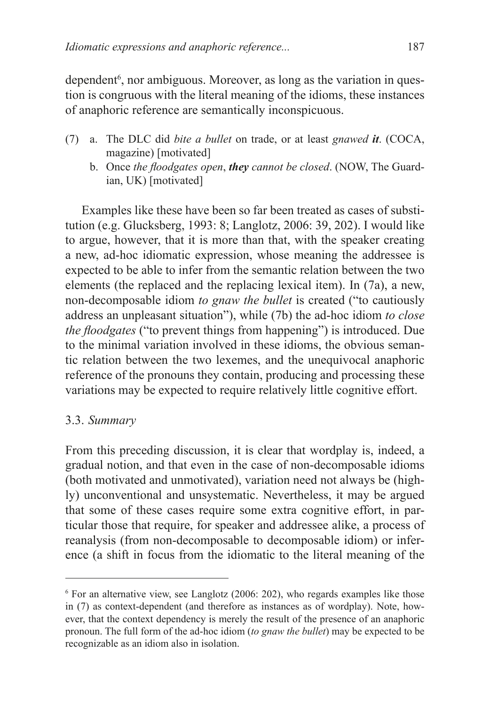dependent<sup>6</sup>, nor ambiguous. Moreover, as long as the variation in question is congruous with the literal meaning of the idioms, these instances of anaphoric reference are semantically inconspicuous.

- (7) a. The DLC did *bite a bullet* on trade, or at least *gnawed it*. (COCA, magazine) [motivated]
	- b. Once *the floodgates open*, *they cannot be closed*. (NOW, The Guardian, UK) [motivated]

Examples like these have been so far been treated as cases of substitution (e.g. Glucksberg, 1993: 8; Langlotz, 2006: 39, 202). I would like to argue, however, that it is more than that, with the speaker creating a new, ad-hoc idiomatic expression, whose meaning the addressee is expected to be able to infer from the semantic relation between the two elements (the replaced and the replacing lexical item). In (7a), a new, non-decomposable idiom *to gnaw the bullet* is created ("to cautiously address an unpleasant situation"), while (7b) the ad-hoc idiom *to close the floodgates* ("to prevent things from happening") is introduced. Due to the minimal variation involved in these idioms, the obvious semantic relation between the two lexemes, and the unequivocal anaphoric reference of the pronouns they contain, producing and processing these variations may be expected to require relatively little cognitive effort.

## 3.3. *Summary*

From this preceding discussion, it is clear that wordplay is, indeed, a gradual notion, and that even in the case of non-decomposable idioms (both motivated and unmotivated), variation need not always be (highly) unconventional and unsystematic. Nevertheless, it may be argued that some of these cases require some extra cognitive effort, in particular those that require, for speaker and addressee alike, a process of reanalysis (from non-decomposable to decomposable idiom) or inference (a shift in focus from the idiomatic to the literal meaning of the

<sup>6</sup> For an alternative view, see Langlotz (2006: 202), who regards examples like those in (7) as context-dependent (and therefore as instances as of wordplay). Note, however, that the context dependency is merely the result of the presence of an anaphoric pronoun. The full form of the ad-hoc idiom (*to gnaw the bullet*) may be expected to be recognizable as an idiom also in isolation.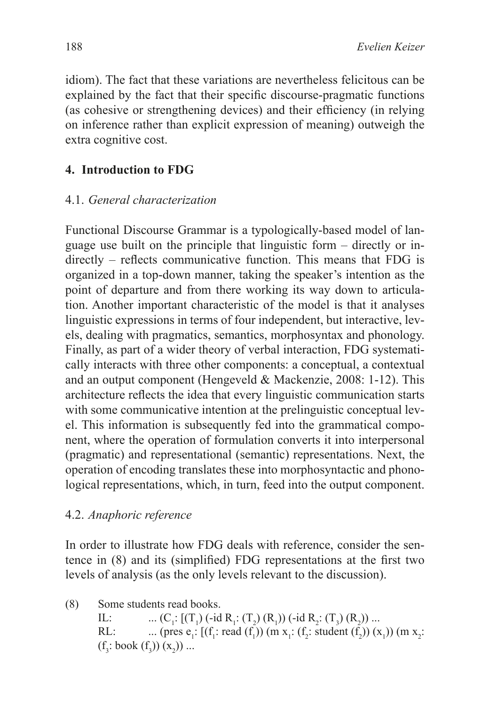idiom). The fact that these variations are nevertheless felicitous can be explained by the fact that their specific discourse-pragmatic functions (as cohesive or strengthening devices) and their efficiency (in relying on inference rather than explicit expression of meaning) outweigh the extra cognitive cost.

# **4. Introduction to FDG**

## 4.1. *General characterization*

Functional Discourse Grammar is a typologically-based model of language use built on the principle that linguistic form – directly or indirectly – reflects communicative function. This means that FDG is organized in a top-down manner, taking the speaker's intention as the point of departure and from there working its way down to articulation. Another important characteristic of the model is that it analyses linguistic expressions in terms of four independent, but interactive, levels, dealing with pragmatics, semantics, morphosyntax and phonology. Finally, as part of a wider theory of verbal interaction, FDG systematically interacts with three other components: a conceptual, a contextual and an output component (Hengeveld & Mackenzie, 2008: 1-12). This architecture reflects the idea that every linguistic communication starts with some communicative intention at the prelinguistic conceptual level. This information is subsequently fed into the grammatical component, where the operation of formulation converts it into interpersonal (pragmatic) and representational (semantic) representations. Next, the operation of encoding translates these into morphosyntactic and phonological representations, which, in turn, feed into the output component.

### 4.2. *Anaphoric reference*

In order to illustrate how FDG deals with reference, consider the sentence in (8) and its (simplified) FDG representations at the first two levels of analysis (as the only levels relevant to the discussion).

(8) Some students read books. IL:  $(C_1: [(T_1) (\text{-id } R_1: (T_2) (R_1)) (\text{-id } R_2: (T_3) (R_2)) ...$ RL: ... (pres  $e_1$ : [(f<sub>1</sub>: read (f<sub>1</sub>)) (m x<sub>1</sub>: (f<sub>2</sub>: student (f<sub>2</sub>)) (x<sub>1</sub>)) (m x<sub>2</sub>:  $(f_3: \text{book } (f_3)) (x_2)$  ...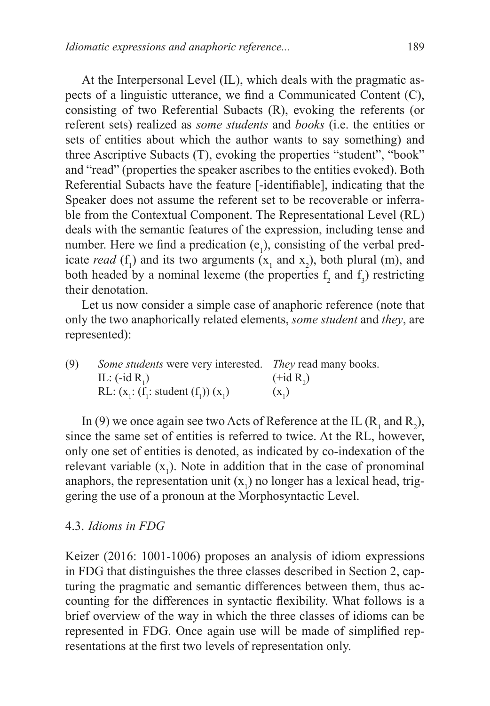At the Interpersonal Level (IL), which deals with the pragmatic aspects of a linguistic utterance, we find a Communicated Content (C), consisting of two Referential Subacts (R), evoking the referents (or referent sets) realized as *some students* and *books* (i.e. the entities or sets of entities about which the author wants to say something) and three Ascriptive Subacts (T), evoking the properties "student", "book" and "read" (properties the speaker ascribes to the entities evoked). Both Referential Subacts have the feature [-identifiable], indicating that the Speaker does not assume the referent set to be recoverable or inferrable from the Contextual Component. The Representational Level (RL) deals with the semantic features of the expression, including tense and number. Here we find a predication  $(e_1)$ , consisting of the verbal predicate *read* ( $f_1$ ) and its two arguments ( $x_1$  and  $x_2$ ), both plural (m), and both headed by a nominal lexeme (the properties  $f_2$  and  $f_3$ ) restricting their denotation.

Let us now consider a simple case of anaphoric reference (note that only the two anaphorically related elements, *some student* and *they*, are represented):

(9) *Some students* were very interested. *They* read many books. IL:  $(-id R_1)$  $(+id R_2)$ RL:  $(x_1: (f_1: student (f_1)) (x_1)$  ( $x_1$ )  $(x<sub>1</sub>)$ 

In (9) we once again see two Acts of Reference at the IL  $(R_1$  and  $R_2)$ , since the same set of entities is referred to twice. At the RL, however, only one set of entities is denoted, as indicated by co-indexation of the relevant variable  $(x_1)$ . Note in addition that in the case of pronominal anaphors, the representation unit  $(x_1)$  no longer has a lexical head, triggering the use of a pronoun at the Morphosyntactic Level.

#### 4.3. *Idioms in FDG*

Keizer (2016: 1001-1006) proposes an analysis of idiom expressions in FDG that distinguishes the three classes described in Section 2, capturing the pragmatic and semantic differences between them, thus accounting for the differences in syntactic flexibility. What follows is a brief overview of the way in which the three classes of idioms can be represented in FDG. Once again use will be made of simplified representations at the first two levels of representation only.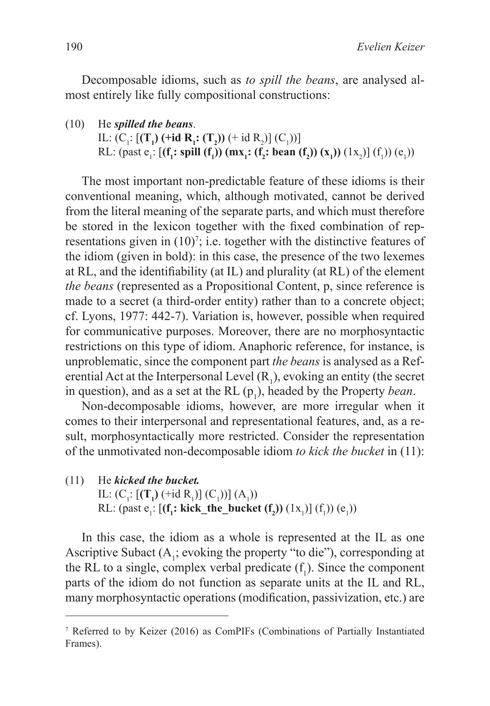Decomposable idioms, such as *to spill the beans*, are analysed almost entirely like fully compositional constructions:

(10) He *spilled the beans*.

IL:  $(C_1$ :  $[(T_1)$  (+**id**  $R_1$ **:**  $(T_2)$ ) (+ id  $R_2$ )]  $(C_1)$ )] RL: (past  $e_1$ : [(**f<sub>1</sub>: spill (f<sub>1</sub>)) (mx<sub>1</sub>: (f<sub>2</sub>: bean (f<sub>2</sub>)) (x<sub>1</sub>)) (1x<sub>2</sub>)] (f<sub>1</sub>)) (e<sub>1</sub>))** 

The most important non-predictable feature of these idioms is their conventional meaning, which, although motivated, cannot be derived from the literal meaning of the separate parts, and which must therefore be stored in the lexicon together with the fixed combination of representations given in  $(10)^7$ ; i.e. together with the distinctive features of the idiom (given in bold): in this case, the presence of the two lexemes at RL, and the identifiability (at IL) and plurality (at RL) of the element *the beans* (represented as a Propositional Content, p, since reference is made to a secret (a third-order entity) rather than to a concrete object; cf. Lyons, 1977: 442-7). Variation is, however, possible when required for communicative purposes. Moreover, there are no morphosyntactic restrictions on this type of idiom. Anaphoric reference, for instance, is unproblematic, since the component part *the beans* is analysed as a Referential Act at the Interpersonal Level  $(R_1)$ , evoking an entity (the secret in question), and as a set at the RL  $(p_1)$ , headed by the Property *bean*.

Non-decomposable idioms, however, are more irregular when it comes to their interpersonal and representational features, and, as a result, morphosyntactically more restricted. Consider the representation of the unmotivated non-decomposable idiom *to kick the bucket* in (11):

(11) He *kicked the bucket.*

IL:  $(C_1$ :  $[(T_1) (\text{+id } R_1)] (C_1)] (A_1)$ RL: (past  $e_1$ : [(**f<sub>1</sub>: kick\_the\_bucket (f<sub>2</sub>)) (1x<sub>1</sub>)] (f<sub>1</sub>)) (e<sub>1</sub>))** 

In this case, the idiom as a whole is represented at the IL as one Ascriptive Subact  $(A_1;$  evoking the property "to die"), corresponding at the RL to a single, complex verbal predicate  $(f_1)$ . Since the component parts of the idiom do not function as separate units at the IL and RL, many morphosyntactic operations (modification, passivization, etc.) are

<sup>7</sup> Referred to by Keizer (2016) as ComPIFs (Combinations of Partially Instantiated Frames).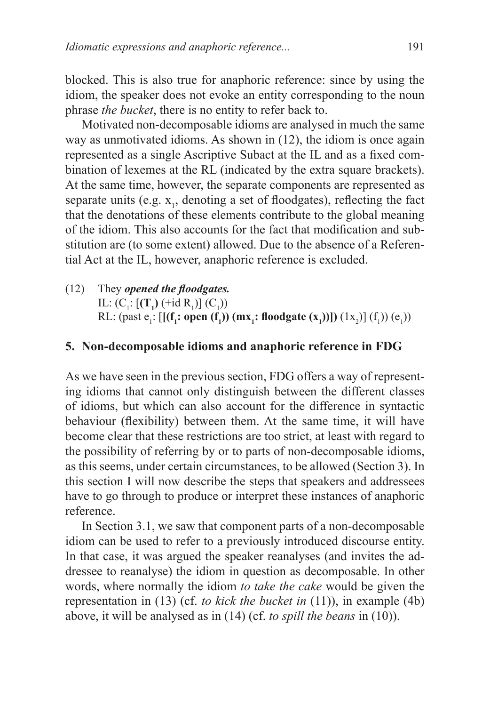blocked. This is also true for anaphoric reference: since by using the idiom, the speaker does not evoke an entity corresponding to the noun phrase *the bucket*, there is no entity to refer back to.

Motivated non-decomposable idioms are analysed in much the same way as unmotivated idioms. As shown in (12), the idiom is once again represented as a single Ascriptive Subact at the IL and as a fixed combination of lexemes at the RL (indicated by the extra square brackets). At the same time, however, the separate components are represented as separate units (e.g.  $x_1$ , denoting a set of floodgates), reflecting the fact that the denotations of these elements contribute to the global meaning of the idiom. This also accounts for the fact that modification and substitution are (to some extent) allowed. Due to the absence of a Referential Act at the IL, however, anaphoric reference is excluded.

(12) They *opened the floodgates.* IL:  $(C_1$ :  $[(T_1)$   $(+id R_1)]$   $(C_1)$ RL: (past  $e_1$ : [[(**f<sub>1</sub>**: open (**f**<sub>1</sub>)) (mx<sub>1</sub>: floodgate (x<sub>1</sub>))]) (1x<sub>2</sub>)] (f<sub>1</sub>)) (e<sub>1</sub>))

#### **5. Non-decomposable idioms and anaphoric reference in FDG**

As we have seen in the previous section, FDG offers a way of representing idioms that cannot only distinguish between the different classes of idioms, but which can also account for the difference in syntactic behaviour (flexibility) between them. At the same time, it will have become clear that these restrictions are too strict, at least with regard to the possibility of referring by or to parts of non-decomposable idioms, as this seems, under certain circumstances, to be allowed (Section 3). In this section I will now describe the steps that speakers and addressees have to go through to produce or interpret these instances of anaphoric reference.

In Section 3.1, we saw that component parts of a non-decomposable idiom can be used to refer to a previously introduced discourse entity. In that case, it was argued the speaker reanalyses (and invites the addressee to reanalyse) the idiom in question as decomposable. In other words, where normally the idiom *to take the cake* would be given the representation in (13) (cf. *to kick the bucket in* (11)), in example (4b) above, it will be analysed as in (14) (cf. *to spill the beans* in (10)).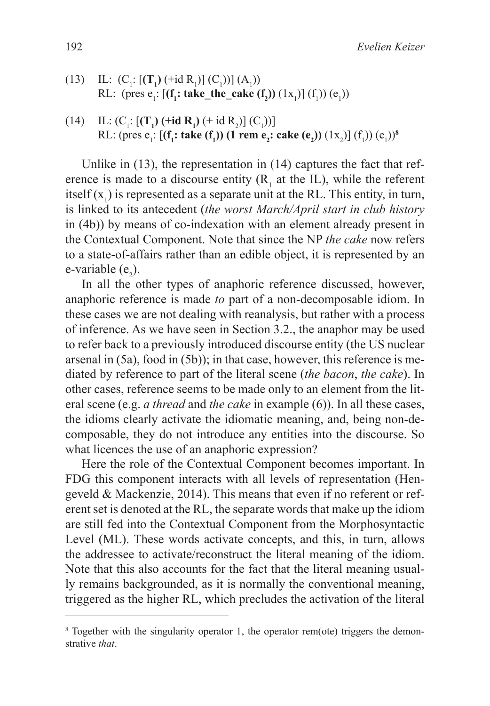- (13) IL:  $(C_1$ :  $[(T_1) (\text{+id } R_1)] (C_1)] (A_1)$ RL: (pres  $e_1$ : [(**f<sub>1</sub>**: **take\_the\_cake** (**f**<sub>2</sub>)) (1x<sub>1</sub>)] (f<sub>1</sub>)) (e<sub>1</sub>))
- (14) IL:  $(C_1$ :  $[(T_1)$  (+**id R**<sub>1</sub>) (+**id R**<sub>2</sub>)]  $(C_1)$ )] RL: (pres  $e_i$ : [(**f<sub>1</sub>: take** (**f**<sub>1</sub>)) (1 rem  $e_2$ : cake ( $e_2$ )) (1x<sub>2</sub>)] (f<sub>1</sub>)) ( $e_1$ ))<sup>8</sup>

Unlike in (13), the representation in (14) captures the fact that reference is made to a discourse entity  $(R<sub>1</sub>$  at the IL), while the referent itself  $(x_1)$  is represented as a separate unit at the RL. This entity, in turn, is linked to its antecedent (*the worst March/April start in club history* in (4b)) by means of co-indexation with an element already present in the Contextual Component. Note that since the NP *the cake* now refers to a state-of-affairs rather than an edible object, it is represented by an e-variable  $(e_2)$ .

In all the other types of anaphoric reference discussed, however, anaphoric reference is made *to* part of a non-decomposable idiom. In these cases we are not dealing with reanalysis, but rather with a process of inference. As we have seen in Section 3.2., the anaphor may be used to refer back to a previously introduced discourse entity (the US nuclear arsenal in (5a), food in (5b)); in that case, however, this reference is mediated by reference to part of the literal scene (*the bacon*, *the cake*). In other cases, reference seems to be made only to an element from the literal scene (e.g. *a thread* and *the cake* in example (6)). In all these cases, the idioms clearly activate the idiomatic meaning, and, being non-decomposable, they do not introduce any entities into the discourse. So what licences the use of an anaphoric expression?

Here the role of the Contextual Component becomes important. In FDG this component interacts with all levels of representation (Hengeveld & Mackenzie, 2014). This means that even if no referent or referent set is denoted at the RL, the separate words that make up the idiom are still fed into the Contextual Component from the Morphosyntactic Level (ML). These words activate concepts, and this, in turn, allows the addressee to activate/reconstruct the literal meaning of the idiom. Note that this also accounts for the fact that the literal meaning usually remains backgrounded, as it is normally the conventional meaning, triggered as the higher RL, which precludes the activation of the literal

<sup>&</sup>lt;sup>8</sup> Together with the singularity operator 1, the operator rem(ote) triggers the demonstrative *that*.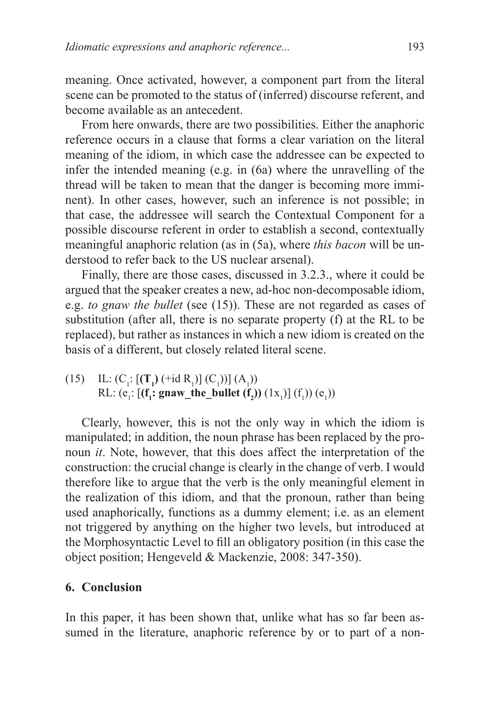meaning. Once activated, however, a component part from the literal scene can be promoted to the status of (inferred) discourse referent, and become available as an antecedent.

From here onwards, there are two possibilities. Either the anaphoric reference occurs in a clause that forms a clear variation on the literal meaning of the idiom, in which case the addressee can be expected to infer the intended meaning (e.g. in (6a) where the unravelling of the thread will be taken to mean that the danger is becoming more imminent). In other cases, however, such an inference is not possible; in that case, the addressee will search the Contextual Component for a possible discourse referent in order to establish a second, contextually meaningful anaphoric relation (as in (5a), where *this bacon* will be understood to refer back to the US nuclear arsenal).

Finally, there are those cases, discussed in 3.2.3., where it could be argued that the speaker creates a new, ad-hoc non-decomposable idiom, e.g. *to gnaw the bullet* (see (15)). These are not regarded as cases of substitution (after all, there is no separate property (f) at the RL to be replaced), but rather as instances in which a new idiom is created on the basis of a different, but closely related literal scene.

(15) IL:  $(C_1: [(T_1) (\text{+id } R_1)] (C_1))] (A_1)$ RL:  $(e_1: [(\mathbf{f}_1; \text{gnaw\_the\_bullet}(\mathbf{f}_2)) (1x_1)] (f_1)) (e_1)$ 

Clearly, however, this is not the only way in which the idiom is manipulated; in addition, the noun phrase has been replaced by the pronoun *it*. Note, however, that this does affect the interpretation of the construction: the crucial change is clearly in the change of verb. I would therefore like to argue that the verb is the only meaningful element in the realization of this idiom, and that the pronoun, rather than being used anaphorically, functions as a dummy element; i.e. as an element not triggered by anything on the higher two levels, but introduced at the Morphosyntactic Level to fill an obligatory position (in this case the object position; Hengeveld & Mackenzie, 2008: 347-350).

#### **6. Conclusion**

In this paper, it has been shown that, unlike what has so far been assumed in the literature, anaphoric reference by or to part of a non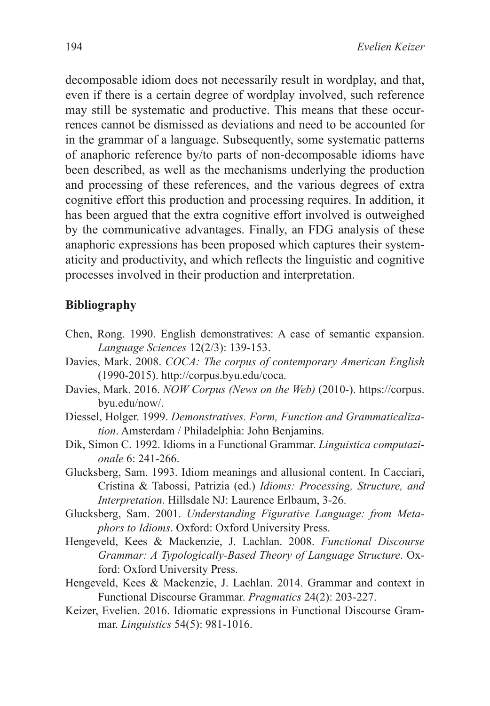decomposable idiom does not necessarily result in wordplay, and that, even if there is a certain degree of wordplay involved, such reference may still be systematic and productive. This means that these occurrences cannot be dismissed as deviations and need to be accounted for in the grammar of a language. Subsequently, some systematic patterns of anaphoric reference by/to parts of non-decomposable idioms have been described, as well as the mechanisms underlying the production and processing of these references, and the various degrees of extra cognitive effort this production and processing requires. In addition, it has been argued that the extra cognitive effort involved is outweighed by the communicative advantages. Finally, an FDG analysis of these anaphoric expressions has been proposed which captures their systematicity and productivity, and which reflects the linguistic and cognitive processes involved in their production and interpretation.

### **Bibliography**

- Chen, Rong. 1990. English demonstratives: A case of semantic expansion. *Language Sciences* 12(2/3): 139-153.
- Davies, Mark. 2008. *COCA: The corpus of contemporary American English* (1990-2015).<http://corpus.byu.edu/coca>.
- Davies, Mark. 2016. *NOW Corpus (News on the Web)* (2010-). [https://corpus.](https://corpus.byu.edu/now/) [byu.edu/now/.](https://corpus.byu.edu/now/)
- Diessel, Holger. 1999. *Demonstratives. Form, Function and Grammaticalization*. Amsterdam / Philadelphia: John Benjamins.
- Dik, Simon C. 1992. Idioms in a Functional Grammar. *Linguistica computazionale* 6: 241-266.
- Glucksberg, Sam. 1993. Idiom meanings and allusional content. In Cacciari, Cristina & Tabossi, Patrizia (ed.) *Idioms: Processing, Structure, and Interpretation*. Hillsdale NJ: Laurence Erlbaum, 3-26.
- Glucksberg, Sam. 2001. *Understanding Figurative Language: from Metaphors to Idioms*. Oxford: Oxford University Press.
- Hengeveld, Kees & Mackenzie, J. Lachlan. 2008. *Functional Discourse Grammar: A Typologically-Based Theory of Language Structure*. Oxford: Oxford University Press.
- Hengeveld, Kees & Mackenzie, J. Lachlan. 2014. Grammar and context in Functional Discourse Grammar. *Pragmatics* 24(2): 203-227.
- Keizer, Evelien. 2016. Idiomatic expressions in Functional Discourse Grammar. *Linguistics* 54(5): 981-1016.